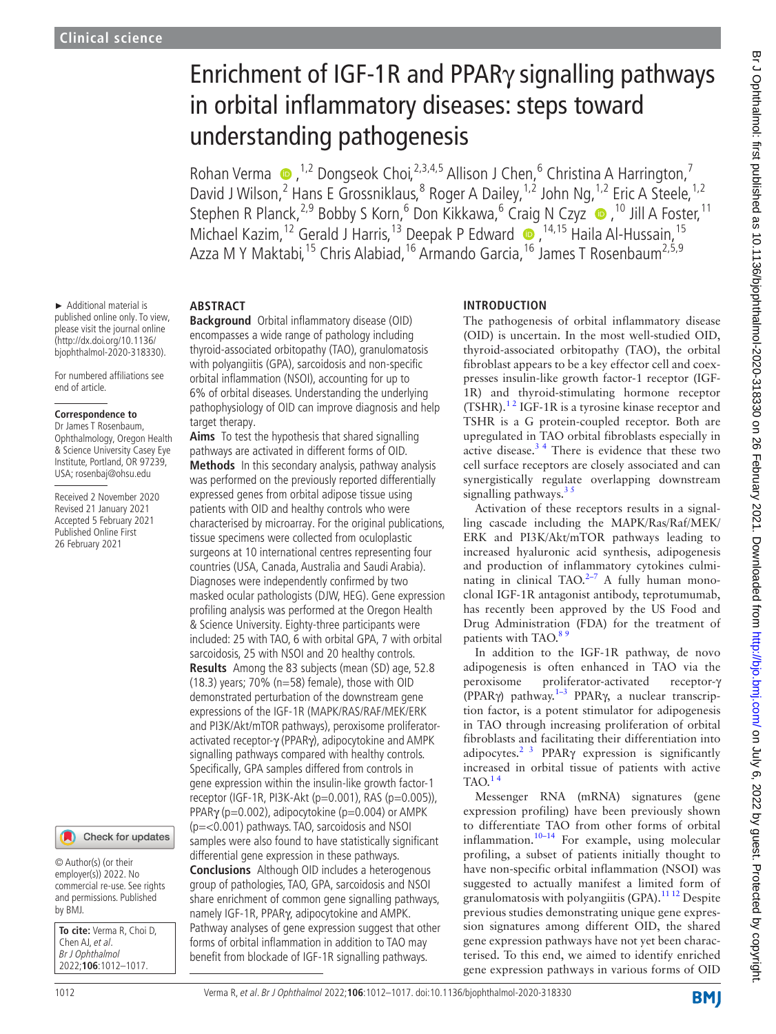# Enrichment of IGF-1R and PPARγ signalling pathways in orbital inflammatory diseases: steps toward understanding pathogenesis

Rohan Verma  $\bullet$ , <sup>1,2</sup> Dongseok Choi, <sup>2,3,4,5</sup> Allison J Chen, <sup>6</sup> Christina A Harrington,<sup>7</sup> David J Wilson,<sup>2</sup> Hans E Grossniklaus,<sup>8</sup> Roger A Dailey,<sup>1,2</sup> John Ng,<sup>1,2</sup> Eric A Steele,<sup>1,2</sup> StephenR Planck,<sup>2,9</sup> Bobby S Korn,<sup>6</sup> Don Kikkawa,<sup>6</sup> Craig N Czyz · 7<sup>10</sup> Jill A Foster,<sup>11</sup> Michael Kazim,<sup>12</sup> Gerald J Harris,<sup>13</sup> Deepak P Edward (D, <sup>14,15</sup> Haila Al-Hussain,<sup>15</sup> Azza M Y Maktabi,<sup>15</sup> Chris Alabiad,<sup>16</sup> Armando Garcia,<sup>16</sup> James T Rosenbaum<sup>2,5,9</sup>

► Additional material is published online only. To view, please visit the journal online (http://dx.doi.org/10.1136/ bjophthalmol-2020-318330).

For numbered affiliations see end of article.

#### **Correspondence to**

Dr James T Rosenbaum, Ophthalmology, Oregon Health & Science University Casey Eye Institute, Portland, OR 97239, USA; rosenbaj@ohsu.edu

Received 2 November 2020 Revised 21 January 2021 Accepted 5 February 2021 Published Online First 26 February 2021

## Check for updates

© Author(s) (or their employer(s)) 2022. No commercial re-use. See rights and permissions. Published by BMJ.

**To cite:** Verma R, Choi D, Chen AI, et al. Br J Ophthalmol 2022;**106**:1012–1017.

# **ABSTRACT**

**Background** Orbital inflammatory disease (OID) encompasses a wide range of pathology including thyroid-associated orbitopathy (TAO), granulomatosis with polyangiitis (GPA), sarcoidosis and non-specific orbital inflammation (NSOI), accounting for up to 6% of orbital diseases. Understanding the underlying pathophysiology of OID can improve diagnosis and help target therapy.

**Aims** To test the hypothesis that shared signalling pathways are activated in different forms of OID. **Methods** In this secondary analysis, pathway analysis was performed on the previously reported differentially expressed genes from orbital adipose tissue using patients with OID and healthy controls who were characterised by microarray. For the original publications, tissue specimens were collected from oculoplastic surgeons at 10 international centres representing four countries (USA, Canada, Australia and Saudi Arabia). Diagnoses were independently confirmed by two masked ocular pathologists (DJW, HEG). Gene expression profiling analysis was performed at the Oregon Health & Science University. Eighty-three participants were included: 25 with TAO, 6 with orbital GPA, 7 with orbital sarcoidosis, 25 with NSOI and 20 healthy controls. **Results** Among the 83 subjects (mean (SD) age, 52.8 (18.3) years; 70% (n=58) female), those with OID demonstrated perturbation of the downstream gene expressions of the IGF-1R (MAPK/RAS/RAF/MEK/ERK and PI3K/Akt/mTOR pathways), peroxisome proliferatoractivated receptor-γ (PPARγ), adipocytokine and AMPK signalling pathways compared with healthy controls. Specifically, GPA samples differed from controls in gene expression within the insulin-like growth factor-1 receptor (IGF-1R, PI3K-Akt (p=0.001), RAS (p=0.005)), PPAR $\gamma$  (p=0.002), adipocytokine (p=0.004) or AMPK (p=<0.001) pathways. TAO, sarcoidosis and NSOI samples were also found to have statistically significant differential gene expression in these pathways.

**Conclusions** Although OID includes a heterogenous group of pathologies, TAO, GPA, sarcoidosis and NSOI share enrichment of common gene signalling pathways, namely IGF-1R, PPARγ, adipocytokine and AMPK. Pathway analyses of gene expression suggest that other forms of orbital inflammation in addition to TAO may benefit from blockade of IGF-1R signalling pathways.

# **INTRODUCTION**

The pathogenesis of orbital inflammatory disease (OID) is uncertain. In the most well-studied OID, thyroid-associated orbitopathy (TAO), the orbital fibroblast appears to be a key effector cell and coexpresses insulin-like growth factor-1 receptor (IGF-1R) and thyroid-stimulating hormone receptor (TSHR).[1 2](#page-4-0) IGF-1R is a tyrosine kinase receptor and TSHR is a G protein-coupled receptor. Both are upregulated in TAO orbital fibroblasts especially in active disease.[3 4](#page-4-1) There is evidence that these two cell surface receptors are closely associated and can synergistically regulate overlapping downstream signalling pathways.<sup>35</sup>

Activation of these receptors results in a signalling cascade including the MAPK/Ras/Raf/MEK/ ERK and PI3K/Akt/mTOR pathways leading to increased hyaluronic acid synthesis, adipogenesis and production of inflammatory cytokines culminating in clinical TAO. $2-7$  A fully human monoclonal IGF-1R antagonist antibody, teprotumumab, has recently been approved by the US Food and Drug Administration (FDA) for the treatment of patients with TAO.<sup>85</sup>

In addition to the IGF-1R pathway, de novo adipogenesis is often enhanced in TAO via the peroxisome proliferator-activated receptor-γ (PPARγ) pathway[.1–3](#page-4-0) PPARγ, a nuclear transcription factor, is a potent stimulator for adipogenesis in TAO through increasing proliferation of orbital fibroblasts and facilitating their differentiation into adipocytes.<sup>2 3</sup> PPAR $\gamma$  expression is significantly increased in orbital tissue of patients with active  $TAO.<sup>14</sup>$ 

Messenger RNA (mRNA) signatures (gene expression profiling) have been previously shown to differentiate TAO from other forms of orbital inflammation.<sup>10-14</sup> For example, using molecular profiling, a subset of patients initially thought to have non-specific orbital inflammation (NSOI) was suggested to actually manifest a limited form of granulomatosis with polyangiitis  $(GPA)$ .<sup>[11 12](#page-4-5)</sup> Despite previous studies demonstrating unique gene expression signatures among different OID, the shared gene expression pathways have not yet been characterised. To this end, we aimed to identify enriched gene expression pathways in various forms of OID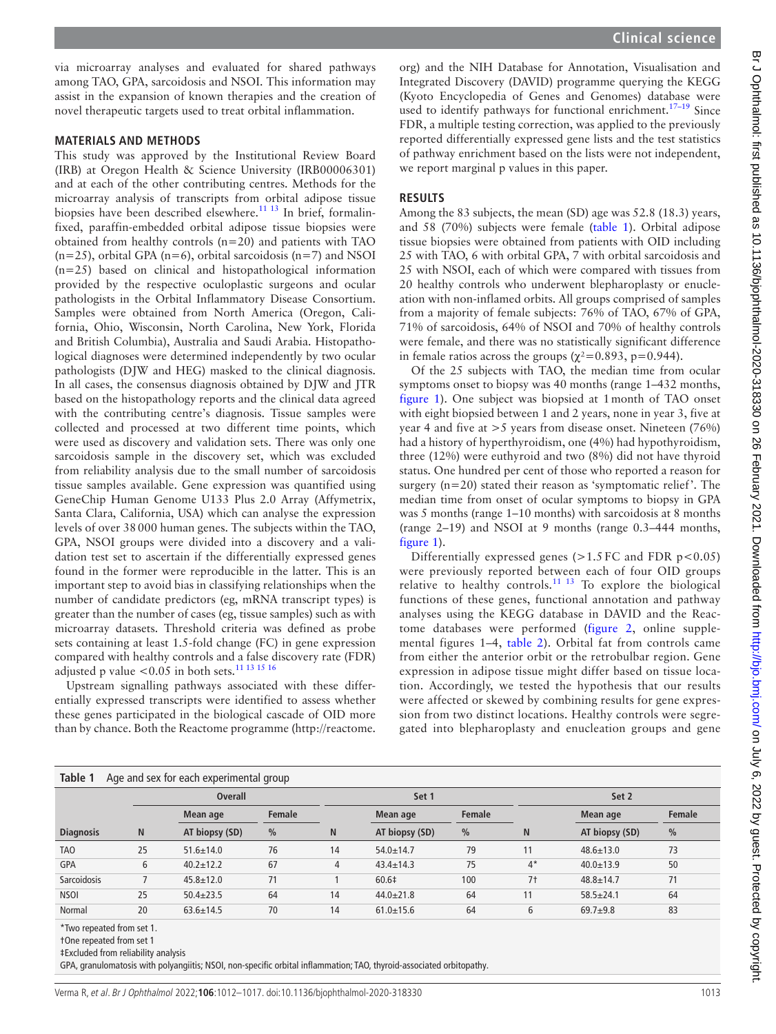via microarray analyses and evaluated for shared pathways among TAO, GPA, sarcoidosis and NSOI. This information may assist in the expansion of known therapies and the creation of novel therapeutic targets used to treat orbital inflammation.

#### **MATERIALS AND METHODS**

This study was approved by the Institutional Review Board (IRB) at Oregon Health & Science University (IRB00006301) and at each of the other contributing centres. Methods for the microarray analysis of transcripts from orbital adipose tissue biopsies have been described elsewhere.<sup>[11 13](#page-4-5)</sup> In brief, formalinfixed, paraffin-embedded orbital adipose tissue biopsies were obtained from healthy controls (n=20) and patients with TAO  $(n=25)$ , orbital GPA  $(n=6)$ , orbital sarcoidosis  $(n=7)$  and NSOI (n=25) based on clinical and histopathological information provided by the respective oculoplastic surgeons and ocular pathologists in the Orbital Inflammatory Disease Consortium. Samples were obtained from North America (Oregon, California, Ohio, Wisconsin, North Carolina, New York, Florida and British Columbia), Australia and Saudi Arabia. Histopathological diagnoses were determined independently by two ocular pathologists (DJW and HEG) masked to the clinical diagnosis. In all cases, the consensus diagnosis obtained by DJW and JTR based on the histopathology reports and the clinical data agreed with the contributing centre's diagnosis. Tissue samples were collected and processed at two different time points, which were used as discovery and validation sets. There was only one sarcoidosis sample in the discovery set, which was excluded from reliability analysis due to the small number of sarcoidosis tissue samples available. Gene expression was quantified using GeneChip Human Genome U133 Plus 2.0 Array (Affymetrix, Santa Clara, California, USA) which can analyse the expression levels of over 38000 human genes. The subjects within the TAO, GPA, NSOI groups were divided into a discovery and a validation test set to ascertain if the differentially expressed genes found in the former were reproducible in the latter. This is an important step to avoid bias in classifying relationships when the number of candidate predictors (eg, mRNA transcript types) is greater than the number of cases (eg, tissue samples) such as with microarray datasets. Threshold criteria was defined as probe sets containing at least 1.5-fold change (FC) in gene expression compared with healthy controls and a false discovery rate (FDR) adjusted p value  $<$  0.05 in both sets.<sup>[11 13 15 16](#page-4-5)</sup>

Upstream signalling pathways associated with these differentially expressed transcripts were identified to assess whether these genes participated in the biological cascade of OID more than by chance. Both the Reactome programme ([http://reactome.](http://reactome.org)

[org\)](http://reactome.org) and the NIH Database for Annotation, Visualisation and Integrated Discovery (DAVID) programme querying the KEGG (Kyoto Encyclopedia of Genes and Genomes) database were used to identify pathways for functional enrichment.<sup>17-19</sup> Since FDR, a multiple testing correction, was applied to the previously reported differentially expressed gene lists and the test statistics of pathway enrichment based on the lists were not independent,

we report marginal p values in this paper.

# **RESULTS**

Among the 83 subjects, the mean (SD) age was 52.8 (18.3) years, and 58 (70%) subjects were female [\(table](#page-1-0) 1). Orbital adipose tissue biopsies were obtained from patients with OID including 25 with TAO, 6 with orbital GPA, 7 with orbital sarcoidosis and 25 with NSOI, each of which were compared with tissues from 20 healthy controls who underwent blepharoplasty or enucleation with non-inflamed orbits. All groups comprised of samples from a majority of female subjects: 76% of TAO, 67% of GPA, 71% of sarcoidosis, 64% of NSOI and 70% of healthy controls were female, and there was no statistically significant difference in female ratios across the groups ( $\chi^2$ =0.893, p=0.944).

Of the 25 subjects with TAO, the median time from ocular symptoms onset to biopsy was 40 months (range 1–432 months, [figure](#page-2-0) 1). One subject was biopsied at 1month of TAO onset with eight biopsied between 1 and 2 years, none in year 3, five at year 4 and five at  $>$  5 years from disease onset. Nineteen (76%) had a history of hyperthyroidism, one (4%) had hypothyroidism, three (12%) were euthyroid and two (8%) did not have thyroid status. One hundred per cent of those who reported a reason for surgery (n=20) stated their reason as 'symptomatic relief'. The median time from onset of ocular symptoms to biopsy in GPA was 5 months (range 1–10 months) with sarcoidosis at 8 months (range 2–19) and NSOI at 9 months (range 0.3–444 months, [figure](#page-2-0) 1).

Differentially expressed genes  $(>1.5$  FC and FDR p<0.05) were previously reported between each of four OID groups relative to healthy controls.<sup>[11 13](#page-4-5)</sup> To explore the biological functions of these genes, functional annotation and pathway analyses using the KEGG database in DAVID and the Reactome databases were performed [\(figure](#page-2-1) 2, [online supple](https://dx.doi.org/10.1136/bjophthalmol-2020-318330)[mental figures 1–4,](https://dx.doi.org/10.1136/bjophthalmol-2020-318330) [table](#page-3-0) 2). Orbital fat from controls came from either the anterior orbit or the retrobulbar region. Gene expression in adipose tissue might differ based on tissue location. Accordingly, we tested the hypothesis that our results were affected or skewed by combining results for gene expression from two distinct locations. Healthy controls were segregated into blepharoplasty and enucleation groups and gene

<span id="page-1-0"></span>

| Table 1<br>Age and sex for each experimental group |    |                 |               |    |                 |               |                |                 |               |  |
|----------------------------------------------------|----|-----------------|---------------|----|-----------------|---------------|----------------|-----------------|---------------|--|
|                                                    |    | <b>Overall</b>  |               |    | Set 1           |               | Set 2          |                 |               |  |
|                                                    |    | Mean age        | Female        |    | Mean age        | Female        |                | Mean age        | Female        |  |
| <b>Diagnosis</b>                                   | N  | AT biopsy (SD)  | $\frac{0}{0}$ | N  | AT biopsy (SD)  | $\frac{0}{0}$ | N              | AT biopsy (SD)  | $\frac{0}{0}$ |  |
| <b>TAO</b>                                         | 25 | $51.6 \pm 14.0$ | 76            | 14 | $54.0 \pm 14.7$ | 79            | 11             | $48.6 \pm 13.0$ | 73            |  |
| <b>GPA</b>                                         | 6  | $40.2 \pm 12.2$ | 67            | 4  | $43.4 \pm 14.3$ | 75            | $4*$           | $40.0 \pm 13.9$ | 50            |  |
| Sarcoidosis                                        |    | $45.8 \pm 12.0$ | 71            |    | 60.6‡           | 100           | 7 <sup>†</sup> | $48.8 \pm 14.7$ | 71            |  |
| <b>NSOI</b>                                        | 25 | $50.4 \pm 23.5$ | 64            | 14 | $44.0 \pm 21.8$ | 64            | 11             | $58.5 \pm 24.1$ | 64            |  |
| Normal                                             | 20 | $63.6 \pm 14.5$ | 70            | 14 | $61.0 \pm 15.6$ | 64            | 6              | $69.7 + 9.8$    | 83            |  |
|                                                    |    |                 |               |    |                 |               |                |                 |               |  |

\*Two repeated from set 1.

†One repeated from set 1

‡Excluded from reliability analysis

GPA, granulomatosis with polyangiitis; NSOI, non-specific orbital inflammation; TAO, thyroid-associated orbitopathy.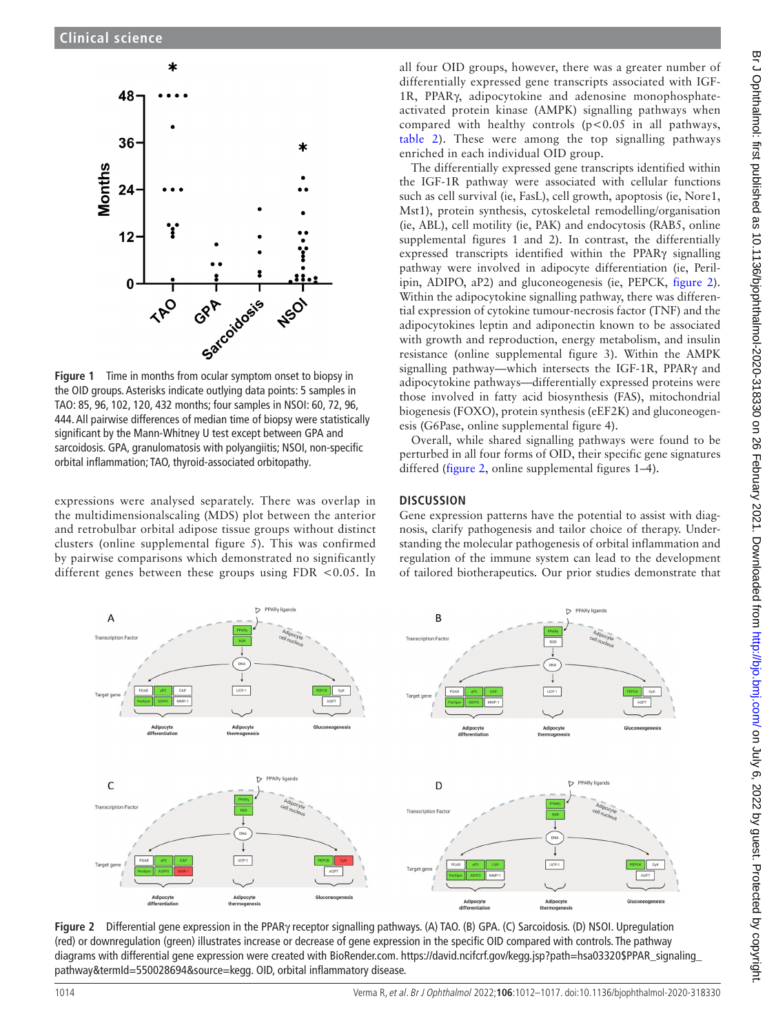

<span id="page-2-0"></span>**Figure 1** Time in months from ocular symptom onset to biopsy in the OID groups. Asterisks indicate outlying data points: 5 samples in TAO: 85, 96, 102, 120, 432 months; four samples in NSOI: 60, 72, 96, 444. All pairwise differences of median time of biopsy were statistically significant by the Mann-Whitney U test except between GPA and sarcoidosis. GPA, granulomatosis with polyangiitis; NSOI, non-specific orbital inflammation; TAO, thyroid-associated orbitopathy.

expressions were analysed separately. There was overlap in the multidimensionalscaling (MDS) plot between the anterior and retrobulbar orbital adipose tissue groups without distinct clusters ([online supplemental figure 5\)](https://dx.doi.org/10.1136/bjophthalmol-2020-318330). This was confirmed by pairwise comparisons which demonstrated no significantly different genes between these groups using FDR <0.05. In

all four OID groups, however, there was a greater number of differentially expressed gene transcripts associated with IGF-1R, PPARγ, adipocytokine and adenosine monophosphateactivated protein kinase (AMPK) signalling pathways when compared with healthy controls  $(p<0.05$  in all pathways, [table](#page-3-0) 2). These were among the top signalling pathways enriched in each individual OID group.

The differentially expressed gene transcripts identified within the IGF-1R pathway were associated with cellular functions such as cell survival (ie, FasL), cell growth, apoptosis (ie, Nore1, Mst1), protein synthesis, cytoskeletal remodelling/organisation (ie, ABL), cell motility (ie, PAK) and endocytosis (RAB5, [online](https://dx.doi.org/10.1136/bjophthalmol-2020-318330) [supplemental figures 1 and 2](https://dx.doi.org/10.1136/bjophthalmol-2020-318330)). In contrast, the differentially expressed transcripts identified within the PPARγ signalling pathway were involved in adipocyte differentiation (ie, Perilipin, ADIPO, aP2) and gluconeogenesis (ie, PEPCK, [figure](#page-2-1) 2). Within the adipocytokine signalling pathway, there was differential expression of cytokine tumour-necrosis factor (TNF) and the adipocytokines leptin and adiponectin known to be associated with growth and reproduction, energy metabolism, and insulin resistance ([online supplemental figure 3\)](https://dx.doi.org/10.1136/bjophthalmol-2020-318330). Within the AMPK signalling pathway—which intersects the IGF-1R, PPARγ and adipocytokine pathways—differentially expressed proteins were those involved in fatty acid biosynthesis (FAS), mitochondrial biogenesis (FOXO), protein synthesis (eEF2K) and gluconeogenesis (G6Pase, [online supplemental figure 4](https://dx.doi.org/10.1136/bjophthalmol-2020-318330)).

Overall, while shared signalling pathways were found to be perturbed in all four forms of OID, their specific gene signatures differed ([figure](#page-2-1) 2, [online supplemental figures 1–4\)](https://dx.doi.org/10.1136/bjophthalmol-2020-318330).

# **DISCUSSION**

Gene expression patterns have the potential to assist with diagnosis, clarify pathogenesis and tailor choice of therapy. Understanding the molecular pathogenesis of orbital inflammation and regulation of the immune system can lead to the development of tailored biotherapeutics. Our prior studies demonstrate that



<span id="page-2-1"></span>**Figure 2** Differential gene expression in the PPARγ receptor signalling pathways. (A) TAO. (B) GPA. (C) Sarcoidosis. (D) NSOI. Upregulation (red) or downregulation (green) illustrates increase or decrease of gene expression in the specific OID compared with controls. The pathway diagrams with differential gene expression were created with BioRender.com. [https://david.ncifcrf.gov/kegg.jsp?path=hsa03320\\$PPAR\\_signaling\\_](https://david.ncifcrf.gov/kegg.jsp?path=hsa03320$PPAR_signaling_pathway&termId=550028694&source=kegg) [pathway&termId=550028694&source=kegg.](https://david.ncifcrf.gov/kegg.jsp?path=hsa03320$PPAR_signaling_pathway&termId=550028694&source=kegg) OID, orbital inflammatory disease.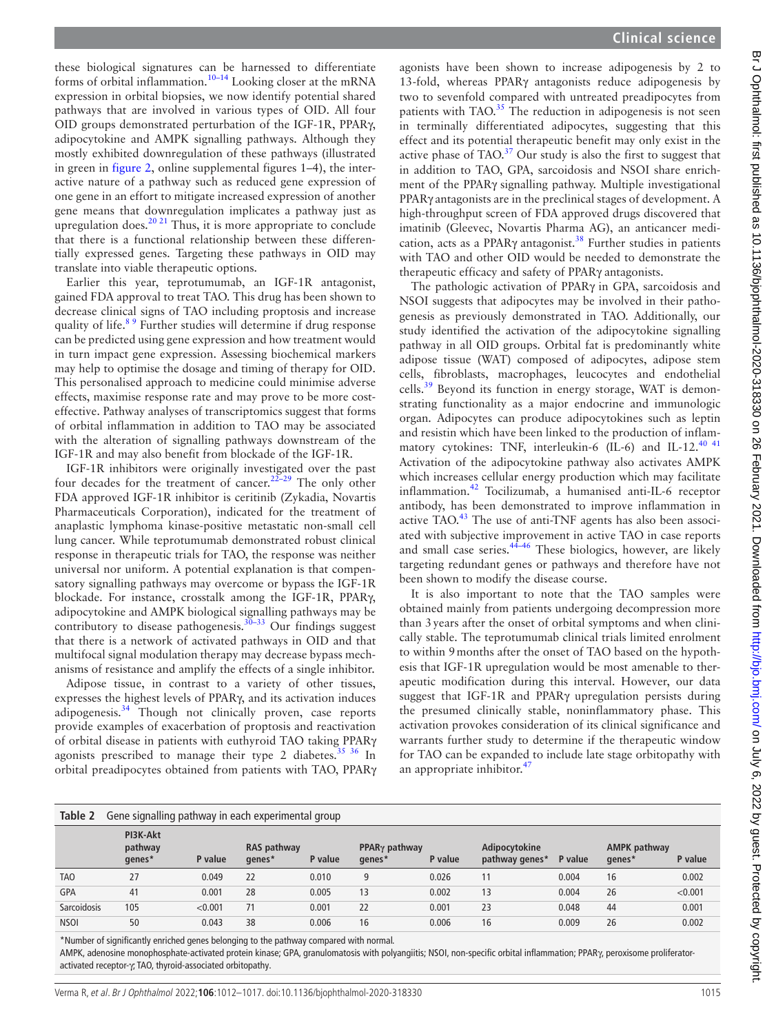these biological signatures can be harnessed to differentiate forms of orbital inflammation.<sup>10–14</sup> Looking closer at the mRNA expression in orbital biopsies, we now identify potential shared pathways that are involved in various types of OID. All four OID groups demonstrated perturbation of the IGF-1R, PPARγ, adipocytokine and AMPK signalling pathways. Although they mostly exhibited downregulation of these pathways (illustrated in green in [figure](#page-2-1) 2, [online supplemental figures 1–4\)](https://dx.doi.org/10.1136/bjophthalmol-2020-318330), the interactive nature of a pathway such as reduced gene expression of one gene in an effort to mitigate increased expression of another gene means that downregulation implicates a pathway just as upregulation does. $20 \times 21$  Thus, it is more appropriate to conclude that there is a functional relationship between these differentially expressed genes. Targeting these pathways in OID may translate into viable therapeutic options.

Earlier this year, teprotumumab, an IGF-1R antagonist, gained FDA approval to treat TAO. This drug has been shown to decrease clinical signs of TAO including proptosis and increase quality of life.<sup>89</sup> Further studies will determine if drug response can be predicted using gene expression and how treatment would in turn impact gene expression. Assessing biochemical markers may help to optimise the dosage and timing of therapy for OID. This personalised approach to medicine could minimise adverse effects, maximise response rate and may prove to be more costeffective. Pathway analyses of transcriptomics suggest that forms of orbital inflammation in addition to TAO may be associated with the alteration of signalling pathways downstream of the IGF-1R and may also benefit from blockade of the IGF-1R.

IGF-1R inhibitors were originally investigated over the past four decades for the treatment of cancer.<sup>22-29</sup> The only other FDA approved IGF-1R inhibitor is ceritinib (Zykadia, Novartis Pharmaceuticals Corporation), indicated for the treatment of anaplastic lymphoma kinase-positive metastatic non-small cell lung cancer. While teprotumumab demonstrated robust clinical response in therapeutic trials for TAO, the response was neither universal nor uniform. A potential explanation is that compensatory signalling pathways may overcome or bypass the IGF-1R blockade. For instance, crosstalk among the IGF-1R, PPARγ, adipocytokine and AMPK biological signalling pathways may be contributory to disease pathogenesis.<sup>30–33</sup> Our findings suggest that there is a network of activated pathways in OID and that multifocal signal modulation therapy may decrease bypass mechanisms of resistance and amplify the effects of a single inhibitor.

Adipose tissue, in contrast to a variety of other tissues, expresses the highest levels of PPARγ, and its activation induces adipogenesis.<sup>34</sup> Though not clinically proven, case reports provide examples of exacerbation of proptosis and reactivation of orbital disease in patients with euthyroid TAO taking PPARγ agonists prescribed to manage their type 2 diabetes.<sup>[35 36](#page-5-4)</sup> In orbital preadipocytes obtained from patients with TAO, PPARγ

agonists have been shown to increase adipogenesis by 2 to 13-fold, whereas PPARγ antagonists reduce adipogenesis by two to sevenfold compared with untreated preadipocytes from patients with TAO. $35$  The reduction in adipogenesis is not seen in terminally differentiated adipocytes, suggesting that this effect and its potential therapeutic benefit may only exist in the active phase of  $TAO.<sup>37</sup>$  Our study is also the first to suggest that in addition to TAO, GPA, sarcoidosis and NSOI share enrichment of the PPARγ signalling pathway. Multiple investigational PPARγ antagonists are in the preclinical stages of development. A high-throughput screen of FDA approved drugs discovered that imatinib (Gleevec, Novartis Pharma AG), an anticancer medi-cation, acts as a PPARγ antagonist.<sup>[38](#page-5-6)</sup> Further studies in patients with TAO and other OID would be needed to demonstrate the therapeutic efficacy and safety of PPARγ antagonists.

The pathologic activation of PPARγ in GPA, sarcoidosis and NSOI suggests that adipocytes may be involved in their pathogenesis as previously demonstrated in TAO. Additionally, our study identified the activation of the adipocytokine signalling pathway in all OID groups. Orbital fat is predominantly white adipose tissue (WAT) composed of adipocytes, adipose stem cells, fibroblasts, macrophages, leucocytes and endothelial cells.<sup>[39](#page-5-7)</sup> Beyond its function in energy storage, WAT is demonstrating functionality as a major endocrine and immunologic organ. Adipocytes can produce adipocytokines such as leptin and resistin which have been linked to the production of inflam-matory cytokines: TNF, interleukin-6 (IL-6) and IL-12.<sup>[40 41](#page-5-8)</sup> Activation of the adipocytokine pathway also activates AMPK which increases cellular energy production which may facilitate inflammation.[42](#page-5-9) Tocilizumab, a humanised anti-IL-6 receptor antibody, has been demonstrated to improve inflammation in active TAO.<sup>[43](#page-5-10)</sup> The use of anti-TNF agents has also been associated with subjective improvement in active TAO in case reports and small case series.<sup>44-46</sup> These biologics, however, are likely targeting redundant genes or pathways and therefore have not been shown to modify the disease course.

It is also important to note that the TAO samples were obtained mainly from patients undergoing decompression more than 3years after the onset of orbital symptoms and when clinically stable. The teprotumumab clinical trials limited enrolment to within 9months after the onset of TAO based on the hypothesis that IGF-1R upregulation would be most amenable to therapeutic modification during this interval. However, our data suggest that IGF-1R and PPARγ upregulation persists during the presumed clinically stable, noninflammatory phase. This activation provokes consideration of its clinical significance and warrants further study to determine if the therapeutic window for TAO can be expanded to include late stage orbitopathy with an appropriate inhibitor. $47$ 

<span id="page-3-0"></span>

| Table 2     | Gene signalling pathway in each experimental group |         |                       |         |                                        |         |                                 |         |                               |         |
|-------------|----------------------------------------------------|---------|-----------------------|---------|----------------------------------------|---------|---------------------------------|---------|-------------------------------|---------|
|             | PI3K-Akt<br>pathway<br>genes*                      | P value | RAS pathway<br>genes* | P value | <b>PPAR</b> $\gamma$ pathway<br>genes* | P value | Adipocytokine<br>pathway genes* | P value | <b>AMPK pathway</b><br>genes* | P value |
| <b>TAO</b>  | 27                                                 | 0.049   | 22                    | 0.010   | 9                                      | 0.026   |                                 | 0.004   | 16                            | 0.002   |
| <b>GPA</b>  | 41                                                 | 0.001   | 28                    | 0.005   | 13                                     | 0.002   | 13                              | 0.004   | 26                            | < 0.001 |
| Sarcoidosis | 105                                                | < 0.001 | 71                    | 0.001   | 22                                     | 0.001   | 23                              | 0.048   | 44                            | 0.001   |
| <b>NSOI</b> | 50                                                 | 0.043   | 38                    | 0.006   | 16                                     | 0.006   | 16                              | 0.009   | 26                            | 0.002   |

\*Number of significantly enriched genes belonging to the pathway compared with normal.

AMPK, adenosine monophosphate-activated protein kinase; GPA, granulomatosis with polyangiitis; NSOI, non-specific orbital inflammation; PPARγ, peroxisome proliferatoractivated receptor-γ; TAO, thyroid-associated orbitopathy.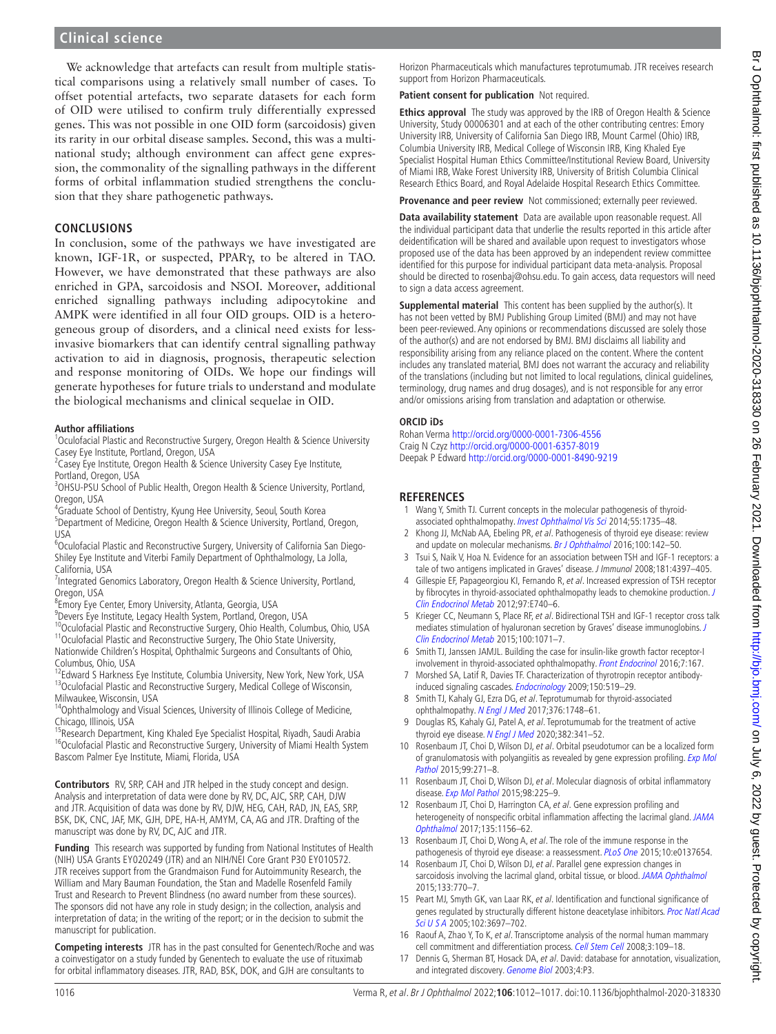We acknowledge that artefacts can result from multiple statistical comparisons using a relatively small number of cases. To offset potential artefacts, two separate datasets for each form of OID were utilised to confirm truly differentially expressed genes. This was not possible in one OID form (sarcoidosis) given its rarity in our orbital disease samples. Second, this was a multinational study; although environment can affect gene expression, the commonality of the signalling pathways in the different forms of orbital inflammation studied strengthens the conclusion that they share pathogenetic pathways.

# **CONCLUSIONS**

In conclusion, some of the pathways we have investigated are known, IGF-1R, or suspected, PPARγ, to be altered in TAO. However, we have demonstrated that these pathways are also enriched in GPA, sarcoidosis and NSOI. Moreover, additional enriched signalling pathways including adipocytokine and AMPK were identified in all four OID groups. OID is a heterogeneous group of disorders, and a clinical need exists for lessinvasive biomarkers that can identify central signalling pathway activation to aid in diagnosis, prognosis, therapeutic selection and response monitoring of OIDs. We hope our findings will generate hypotheses for future trials to understand and modulate the biological mechanisms and clinical sequelae in OID.

## **Author affiliations**

<sup>1</sup> Oculofacial Plastic and Reconstructive Surgery, Oregon Health & Science University Casey Eye Institute, Portland, Oregon, USA

<sup>2</sup> Casey Eye Institute, Oregon Health & Science University Casey Eye Institute,

Portland, Oregon, USA

<sup>3</sup>OHSU-PSU School of Public Health, Oregon Health & Science University, Portland, Oregon, USA

4 Graduate School of Dentistry, Kyung Hee University, Seoul, South Korea

<sup>5</sup>Department of Medicine, Oregon Health & Science University, Portland, Oregon, USA

<sup>6</sup>Oculofacial Plastic and Reconstructive Surgery, University of California San Diego-Shiley Eye Institute and Viterbi Family Department of Ophthalmology, La Jolla, California, USA

<sup>7</sup>Integrated Genomics Laboratory, Oregon Health & Science University, Portland, Oregon, USA

8 Emory Eye Center, Emory University, Atlanta, Georgia, USA

9 Devers Eye Institute, Legacy Health System, Portland, Oregon, USA

<sup>10</sup>Oculofacial Plastic and Reconstructive Surgery, Ohio Health, Columbus, Ohio, USA <sup>11</sup>Oculofacial Plastic and Reconstructive Surgery, The Ohio State University,

Nationwide Children's Hospital, Ophthalmic Surgeons and Consultants of Ohio, Columbus, Ohio, USA<br><sup>12</sup>Edward S Harkness Eye Institute, Columbia University, New York, New York, USA

<sup>13</sup>Oculofacial Plastic and Reconstructive Surgery, Medical College of Wisconsin, Milwaukee, Wisconsin, USA

<sup>14</sup>Ophthalmology and Visual Sciences, University of Illinois College of Medicine, Chicago, Illinois, USA

<sup>15</sup>Research Department, King Khaled Eye Specialist Hospital, Riyadh, Saudi Arabia <sup>16</sup>Oculofacial Plastic and Reconstructive Surgery, University of Miami Health System Bascom Palmer Eye Institute, Miami, Florida, USA

**Contributors** RV, SRP, CAH and JTR helped in the study concept and design. Analysis and interpretation of data were done by RV, DC, AJC, SRP, CAH, DJW and JTR. Acquisition of data was done by RV, DJW, HEG, CAH, RAD, JN, EAS, SRP, BSK, DK, CNC, JAF, MK, GJH, DPE, HA-H, AMYM, CA, AG and JTR. Drafting of the manuscript was done by RV, DC, AJC and JTR.

**Funding** This research was supported by funding from National Institutes of Health (NIH) USA Grants EY020249 (JTR) and an NIH/NEI Core Grant P30 EY010572. JTR receives support from the Grandmaison Fund for Autoimmunity Research, the William and Mary Bauman Foundation, the Stan and Madelle Rosenfeld Family Trust and Research to Prevent Blindness (no award number from these sources). The sponsors did not have any role in study design; in the collection, analysis and interpretation of data; in the writing of the report; or in the decision to submit the manuscript for publication.

**Competing interests** JTR has in the past consulted for Genentech/Roche and was a coinvestigator on a study funded by Genentech to evaluate the use of rituximab for orbital inflammatory diseases. JTR, RAD, BSK, DOK, and GJH are consultants to

Horizon Pharmaceuticals which manufactures teprotumumab. JTR receives research support from Horizon Pharmaceuticals.

#### **Patient consent for publication** Not required.

**Ethics approval** The study was approved by the IRB of Oregon Health & Science University, Study 00006301 and at each of the other contributing centres: Emory University IRB, University of California San Diego IRB, Mount Carmel (Ohio) IRB, Columbia University IRB, Medical College of Wisconsin IRB, King Khaled Eye Specialist Hospital Human Ethics Committee/Institutional Review Board, University of Miami IRB, Wake Forest University IRB, University of British Columbia Clinical Research Ethics Board, and Royal Adelaide Hospital Research Ethics Committee.

**Provenance and peer review** Not commissioned; externally peer reviewed.

**Data availability statement** Data are available upon reasonable request. All the individual participant data that underlie the results reported in this article after deidentification will be shared and available upon request to investigators whose proposed use of the data has been approved by an independent review committee identified for this purpose for individual participant data meta-analysis. Proposal should be directed to rosenbaj@ohsu.edu. To gain access, data requestors will need to sign a data access agreement.

**Supplemental material** This content has been supplied by the author(s). It has not been vetted by BMJ Publishing Group Limited (BMJ) and may not have been peer-reviewed. Any opinions or recommendations discussed are solely those of the author(s) and are not endorsed by BMJ. BMJ disclaims all liability and responsibility arising from any reliance placed on the content. Where the content includes any translated material, BMJ does not warrant the accuracy and reliability of the translations (including but not limited to local regulations, clinical guidelines, terminology, drug names and drug dosages), and is not responsible for any error and/or omissions arising from translation and adaptation or otherwise.

## **ORCID iDs**

Rohan Verma<http://orcid.org/0000-0001-7306-4556> Craig N Czyz <http://orcid.org/0000-0001-6357-8019> Deepak P Edward <http://orcid.org/0000-0001-8490-9219>

# **REFERENCES**

- <span id="page-4-0"></span>1 Wang Y, Smith TJ. Current concepts in the molecular pathogenesis of thyroid-associated ophthalmopathy. [Invest Ophthalmol Vis Sci](http://dx.doi.org/10.1167/iovs.14-14002) 2014;55:1735-48.
- <span id="page-4-2"></span>2 Khong JJ, McNab AA, Ebeling PR, et al. Pathogenesis of thyroid eye disease: review and update on molecular mechanisms. [Br J Ophthalmol](http://dx.doi.org/10.1136/bjophthalmol-2015-307399) 2016;100:142–50.
- <span id="page-4-1"></span>3 Tsui S, Naik V, Hoa N. Evidence for an association between TSH and IGF-1 receptors: a tale of two antigens implicated in Graves' disease. J Immunol 2008;181:4397–405.
- 4 Gillespie EF, Papageorgiou KI, Fernando R, et al. Increased expression of TSH receptor by fibrocytes in thyroid-associated ophthalmopathy leads to chemokine production. [J](http://dx.doi.org/10.1210/jc.2011-2514)  [Clin Endocrinol Metab](http://dx.doi.org/10.1210/jc.2011-2514) 2012;97:E740–6.
- 5 Krieger CC, Neumann S, Place RF, et al. Bidirectional TSH and IGF-1 receptor cross talk mediates stimulation of hyaluronan secretion by Graves' disease immunoglobins. J [Clin Endocrinol Metab](http://dx.doi.org/10.1210/jc.2014-3566) 2015;100:1071–7.
- 6 Smith TJ, Janssen JAMJL. Building the case for insulin-like growth factor receptor-I involvement in thyroid-associated ophthalmopathy. [Front Endocrinol](http://dx.doi.org/10.3389/fendo.2016.00167) 2016;7:167.
- 7 Morshed SA, Latif R, Davies TF. Characterization of thyrotropin receptor antibodyinduced signaling cascades. [Endocrinology](http://dx.doi.org/10.1210/en.2008-0878) 2009;150:519–29.
- <span id="page-4-3"></span>8 Smith TJ, Kahaly GJ, Ezra DG, et al. Teprotumumab for thyroid-associated ophthalmopathy. [N Engl J Med](http://dx.doi.org/10.1056/NEJMoa1614949) 2017;376:1748-61.
- 9 Douglas RS, Kahaly GJ, Patel A, et al. Teprotumumab for the treatment of active thyroid eye disease. [N Engl J Med](http://dx.doi.org/10.1056/NEJMoa1910434) 2020;382:341-52.
- <span id="page-4-4"></span>10 Rosenbaum JT, Choi D, Wilson DJ, et al. Orbital pseudotumor can be a localized form of granulomatosis with polyangiitis as revealed by gene expression profiling. [Exp Mol](http://dx.doi.org/10.1016/j.yexmp.2015.07.002)  [Pathol](http://dx.doi.org/10.1016/j.yexmp.2015.07.002) 2015;99:271–8.
- <span id="page-4-5"></span>11 Rosenbaum JT, Choi D, Wilson DJ, et al. Molecular diagnosis of orbital inflammatory disease. [Exp Mol Pathol](http://dx.doi.org/10.1016/j.yexmp.2015.01.009) 2015;98:225-9.
- 12 Rosenbaum JT, Choi D, Harrington CA, et al. Gene expression profiling and heterogeneity of nonspecific orbital inflammation affecting the lacrimal gland. JAMA [Ophthalmol](http://dx.doi.org/10.1001/jamaophthalmol.2017.3458) 2017;135:1156–62.
- 13 Rosenbaum JT, Choi D, Wong A, et al. The role of the immune response in the pathogenesis of thyroid eye disease: a reassessment. [PLoS One](http://dx.doi.org/10.1371/journal.pone.0137654) 2015;10:e0137654.
- 14 Rosenbaum JT, Choi D, Wilson DJ, et al. Parallel gene expression changes in sarcoidosis involving the lacrimal gland, orbital tissue, or blood. [JAMA Ophthalmol](http://dx.doi.org/10.1001/jamaophthalmol.2015.0726) 2015;133:770–7.
- 15 Peart MJ, Smyth GK, van Laar RK, et al. Identification and functional significance of genes regulated by structurally different histone deacetylase inhibitors. Proc Natl Acad [Sci U S A](http://dx.doi.org/10.1073/pnas.0500369102) 2005;102:3697-702.
- 16 Raouf A, Zhao Y, To K, et al. Transcriptome analysis of the normal human mammary cell commitment and differentiation process. [Cell Stem Cell](http://dx.doi.org/10.1016/j.stem.2008.05.018) 2008;3:109-18.
- <span id="page-4-6"></span>Dennis G, Sherman BT, Hosack DA, et al. David: database for annotation, visualization, and integrated discovery. [Genome Biol](http://dx.doi.org/10.1186/gb-2003-4-5-p3) 2003;4:P3.